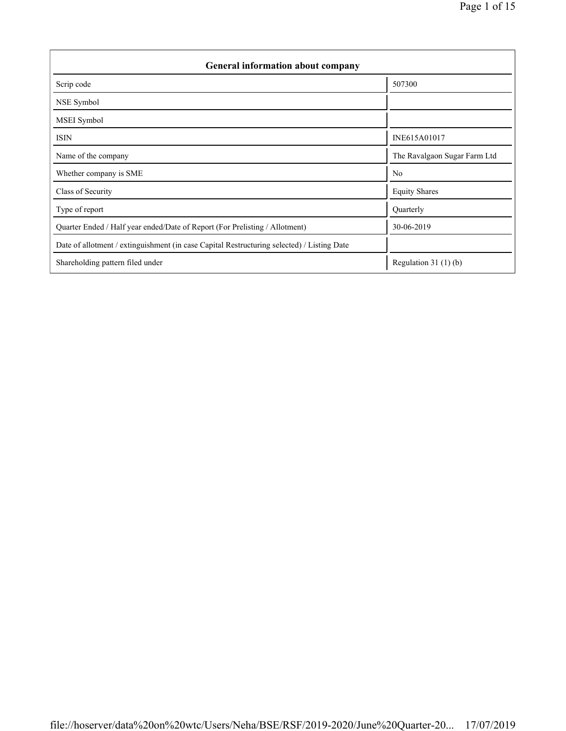| General information about company                                                          |                              |  |  |  |  |  |
|--------------------------------------------------------------------------------------------|------------------------------|--|--|--|--|--|
| Scrip code                                                                                 | 507300                       |  |  |  |  |  |
| NSE Symbol                                                                                 |                              |  |  |  |  |  |
| MSEI Symbol                                                                                |                              |  |  |  |  |  |
| <b>ISIN</b>                                                                                | INE615A01017                 |  |  |  |  |  |
| Name of the company                                                                        | The Ravalgaon Sugar Farm Ltd |  |  |  |  |  |
| Whether company is SME                                                                     | N <sub>0</sub>               |  |  |  |  |  |
| Class of Security                                                                          | <b>Equity Shares</b>         |  |  |  |  |  |
| Type of report                                                                             | Quarterly                    |  |  |  |  |  |
| Quarter Ended / Half year ended/Date of Report (For Prelisting / Allotment)                | 30-06-2019                   |  |  |  |  |  |
| Date of allotment / extinguishment (in case Capital Restructuring selected) / Listing Date |                              |  |  |  |  |  |
| Shareholding pattern filed under                                                           | Regulation $31(1)(b)$        |  |  |  |  |  |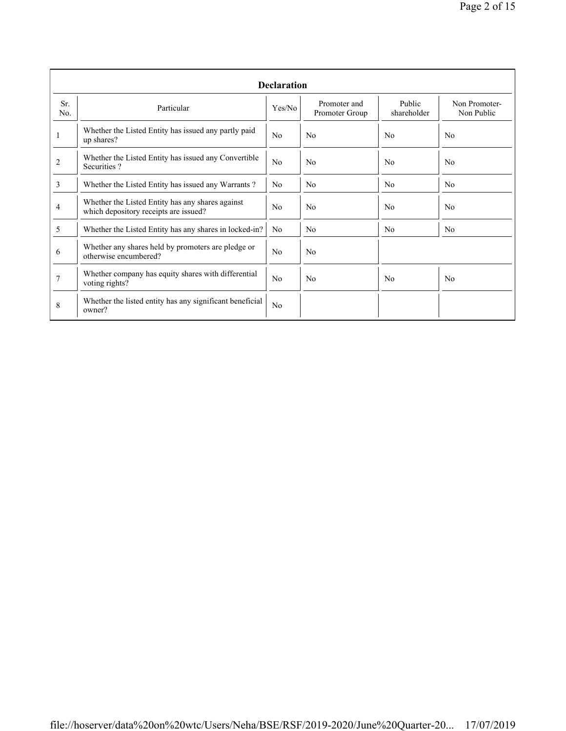|            | <b>Declaration</b>                                                                        |                |                                |                       |                             |  |  |  |  |  |
|------------|-------------------------------------------------------------------------------------------|----------------|--------------------------------|-----------------------|-----------------------------|--|--|--|--|--|
| Sr.<br>No. | Particular                                                                                | Yes/No         | Promoter and<br>Promoter Group | Public<br>shareholder | Non Promoter-<br>Non Public |  |  |  |  |  |
| 1          | Whether the Listed Entity has issued any partly paid<br>up shares?                        | N <sub>0</sub> | N <sub>0</sub>                 | N <sub>0</sub>        | No                          |  |  |  |  |  |
| 2          | Whether the Listed Entity has issued any Convertible<br>Securities?                       | No             | N <sub>0</sub>                 | N <sub>0</sub>        | N <sub>0</sub>              |  |  |  |  |  |
| 3          | Whether the Listed Entity has issued any Warrants?                                        | N <sub>0</sub> | N <sub>0</sub>                 | N <sub>0</sub>        | N <sub>0</sub>              |  |  |  |  |  |
| 4          | Whether the Listed Entity has any shares against<br>which depository receipts are issued? | N <sub>0</sub> | N <sub>0</sub>                 | N <sub>0</sub>        | N <sub>0</sub>              |  |  |  |  |  |
| 5          | Whether the Listed Entity has any shares in locked-in?                                    | N <sub>0</sub> | N <sub>0</sub>                 | N <sub>0</sub>        | No.                         |  |  |  |  |  |
| 6          | Whether any shares held by promoters are pledge or<br>otherwise encumbered?               | N <sub>0</sub> | N <sub>0</sub>                 |                       |                             |  |  |  |  |  |
| 7          | Whether company has equity shares with differential<br>voting rights?                     | No             | N <sub>0</sub>                 | N <sub>0</sub>        | No                          |  |  |  |  |  |
| 8          | Whether the listed entity has any significant beneficial<br>owner?                        | No             |                                |                       |                             |  |  |  |  |  |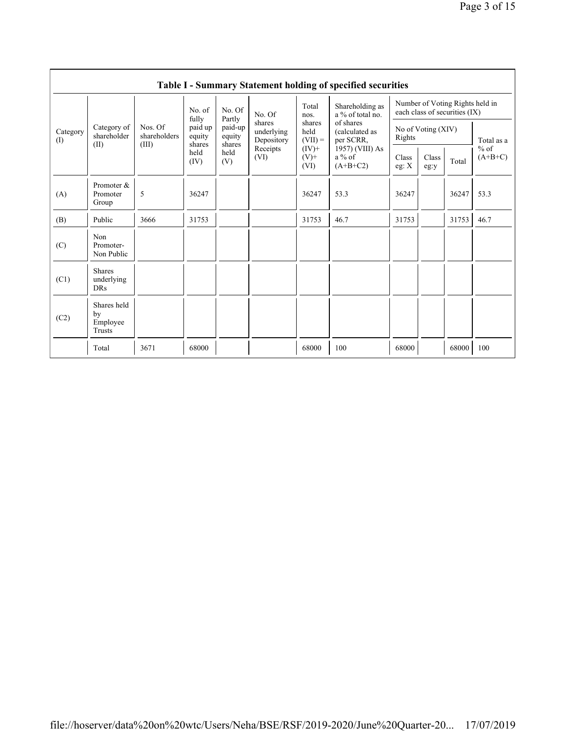|                 | <b>Table I - Summary Statement holding of specified securities</b> |                                                  |                   |                                                                                   |                                    |                                                                             |                                                                                     |                                                                  |               |       |                     |  |
|-----------------|--------------------------------------------------------------------|--------------------------------------------------|-------------------|-----------------------------------------------------------------------------------|------------------------------------|-----------------------------------------------------------------------------|-------------------------------------------------------------------------------------|------------------------------------------------------------------|---------------|-------|---------------------|--|
|                 | Category of<br>shareholder<br>(II)                                 |                                                  | No. of            | No. Of<br>fully<br>Partly<br>paid-up<br>equity<br>shares<br>shares<br>held<br>(V) | No. Of                             | Total<br>nos.<br>shares<br>held<br>$(VII) =$<br>$(IV)$ +<br>$(V)$ +<br>(VI) | Shareholding as<br>a % of total no.                                                 | Number of Voting Rights held in<br>each class of securities (IX) |               |       |                     |  |
| Category<br>(I) |                                                                    | Nos. Of<br>shareholders<br>(III)<br>held<br>(IV) | paid up<br>equity |                                                                                   | shares<br>underlying<br>Depository |                                                                             | of shares<br>(calculated as<br>per SCRR,<br>1957) (VIII) As<br>a % of<br>$(A+B+C2)$ | No of Voting (XIV)<br>Rights                                     |               |       | Total as a          |  |
|                 |                                                                    |                                                  |                   |                                                                                   | Receipts<br>(VI)                   |                                                                             |                                                                                     | Class<br>eg: $X$                                                 | Class<br>eg:y | Total | $%$ of<br>$(A+B+C)$ |  |
| (A)             | Promoter &<br>Promoter<br>Group                                    | 5                                                | 36247             |                                                                                   |                                    | 36247                                                                       | 53.3                                                                                | 36247                                                            |               | 36247 | 53.3                |  |
| (B)             | Public                                                             | 3666                                             | 31753             |                                                                                   |                                    | 31753                                                                       | 46.7                                                                                | 31753                                                            |               | 31753 | 46.7                |  |
| (C)             | Non<br>Promoter-<br>Non Public                                     |                                                  |                   |                                                                                   |                                    |                                                                             |                                                                                     |                                                                  |               |       |                     |  |
| (C1)            | <b>Shares</b><br>underlying<br>DRs                                 |                                                  |                   |                                                                                   |                                    |                                                                             |                                                                                     |                                                                  |               |       |                     |  |
| (C2)            | Shares held<br>by<br>Employee<br>Trusts                            |                                                  |                   |                                                                                   |                                    |                                                                             |                                                                                     |                                                                  |               |       |                     |  |
|                 | Total                                                              | 3671                                             | 68000             |                                                                                   |                                    | 68000                                                                       | 100                                                                                 | 68000                                                            |               | 68000 | 100                 |  |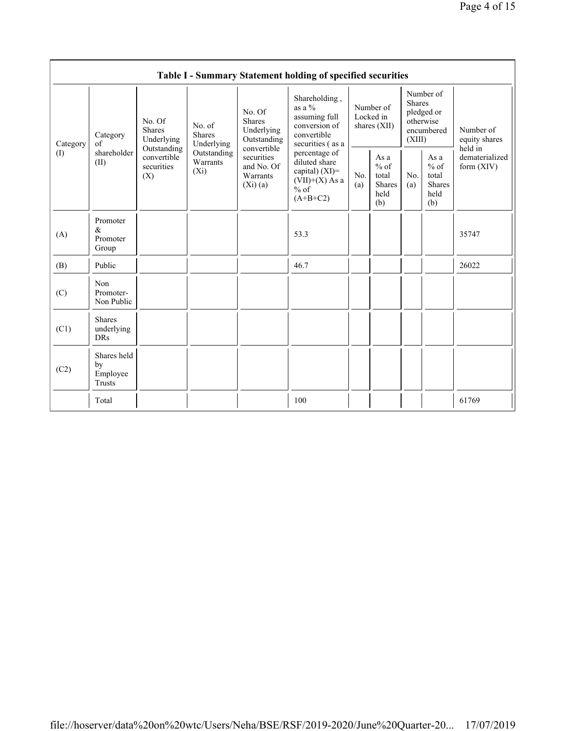|                 | Table I - Summary Statement holding of specified securities |                                                                                                                                                                         |                                                                |                                                                                              |                                                                                              |                                                         |            |                                                                               |                                |                                       |  |
|-----------------|-------------------------------------------------------------|-------------------------------------------------------------------------------------------------------------------------------------------------------------------------|----------------------------------------------------------------|----------------------------------------------------------------------------------------------|----------------------------------------------------------------------------------------------|---------------------------------------------------------|------------|-------------------------------------------------------------------------------|--------------------------------|---------------------------------------|--|
| Category<br>(1) | Category<br>of<br>shareholder<br>(II)                       | No. Of<br>No. of<br><b>Shares</b><br><b>Shares</b><br>Underlying<br>Underlying<br>Outstanding<br>Outstanding<br>convertible<br>Warrants<br>securities<br>$(X_i)$<br>(X) |                                                                | No. Of<br><b>Shares</b><br>Underlying<br>Outstanding                                         | Shareholding,<br>as a %<br>assuming full<br>conversion of<br>convertible<br>securities (as a | Number of<br>Locked in<br>shares (XII)                  |            | Number of<br><b>Shares</b><br>pledged or<br>otherwise<br>encumbered<br>(XIII) |                                | Number of<br>equity shares<br>held in |  |
|                 |                                                             |                                                                                                                                                                         | convertible<br>securities<br>and No. Of<br>Warrants<br>(Xi)(a) | percentage of<br>diluted share<br>capital) (XI)=<br>$(VII)+(X)$ As a<br>$%$ of<br>$(A+B+C2)$ | No.<br>(a)                                                                                   | As a<br>$%$ of<br>total<br><b>Shares</b><br>held<br>(b) | No.<br>(a) | As a<br>$%$ of<br>total<br>Shares<br>held<br>(b)                              | dematerialized<br>form $(XIV)$ |                                       |  |
| (A)             | Promoter<br>$\&$<br>Promoter<br>Group                       |                                                                                                                                                                         |                                                                |                                                                                              | 53.3                                                                                         |                                                         |            |                                                                               |                                | 35747                                 |  |
| (B)             | Public                                                      |                                                                                                                                                                         |                                                                |                                                                                              | 46.7                                                                                         |                                                         |            |                                                                               |                                | 26022                                 |  |
| (C)             | Non<br>Promoter-<br>Non Public                              |                                                                                                                                                                         |                                                                |                                                                                              |                                                                                              |                                                         |            |                                                                               |                                |                                       |  |
| (C1)            | <b>Shares</b><br>underlying<br><b>DRs</b>                   |                                                                                                                                                                         |                                                                |                                                                                              |                                                                                              |                                                         |            |                                                                               |                                |                                       |  |
| (C2)            | Shares held<br>by<br>Employee<br>Trusts                     |                                                                                                                                                                         |                                                                |                                                                                              |                                                                                              |                                                         |            |                                                                               |                                |                                       |  |
|                 | Total                                                       |                                                                                                                                                                         |                                                                |                                                                                              | 100                                                                                          |                                                         |            |                                                                               |                                | 61769                                 |  |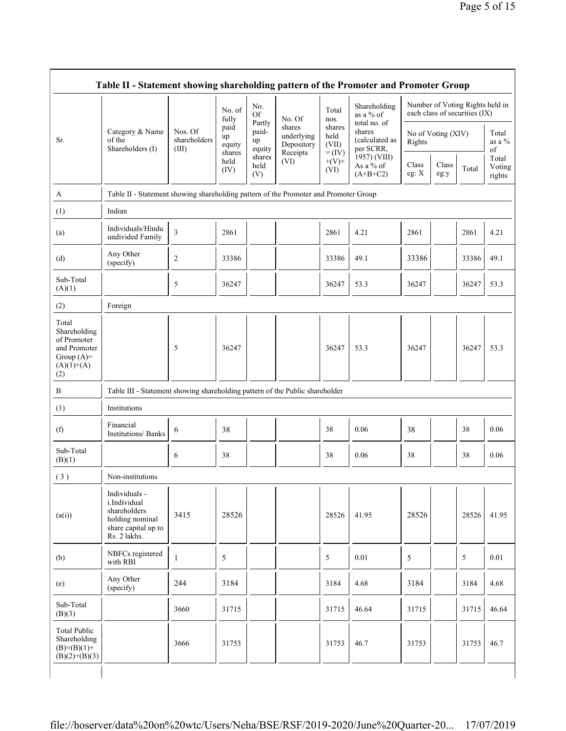|                                                                                             |                                                                                                         |                                  | No. of<br>fully<br>paid<br>up<br>equity | No.<br><b>Of</b>                | No. Of                             | Total<br>nos.                | Shareholding<br>as a % of                             |                  |                    | Number of Voting Rights held in<br>each class of securities (IX) |                           |
|---------------------------------------------------------------------------------------------|---------------------------------------------------------------------------------------------------------|----------------------------------|-----------------------------------------|---------------------------------|------------------------------------|------------------------------|-------------------------------------------------------|------------------|--------------------|------------------------------------------------------------------|---------------------------|
| Sr.                                                                                         | Category & Name<br>of the<br>Shareholders (I)                                                           | Nos. Of<br>shareholders<br>(III) |                                         | Partly<br>paid-<br>up<br>equity | shares<br>underlying<br>Depository | shares<br>held<br>(VII)      | total no. of<br>shares<br>(calculated as<br>per SCRR, | Rights           | No of Voting (XIV) |                                                                  | Total<br>as a $%$<br>of   |
|                                                                                             |                                                                                                         |                                  | shares<br>held<br>(IV)                  | shares<br>held<br>(V)           | Receipts<br>(VI)                   | $=$ (IV)<br>$+(V)$ +<br>(VI) | 1957) (VIII)<br>As a % of<br>$(A+B+C2)$               | Class<br>eg: $X$ | Class<br>eg:y      | Total                                                            | Total<br>Voting<br>rights |
| A                                                                                           | Table II - Statement showing shareholding pattern of the Promoter and Promoter Group                    |                                  |                                         |                                 |                                    |                              |                                                       |                  |                    |                                                                  |                           |
| (1)                                                                                         | Indian                                                                                                  |                                  |                                         |                                 |                                    |                              |                                                       |                  |                    |                                                                  |                           |
| (a)                                                                                         | Individuals/Hindu<br>undivided Family                                                                   | 3                                | 2861                                    |                                 |                                    | 2861                         | 4.21                                                  | 2861             |                    | 2861                                                             | 4.21                      |
| (d)                                                                                         | Any Other<br>(specify)                                                                                  | 2                                | 33386                                   |                                 |                                    | 33386                        | 49.1                                                  | 33386            |                    | 33386                                                            | 49.1                      |
| Sub-Total<br>(A)(1)                                                                         |                                                                                                         | 5                                | 36247                                   |                                 |                                    | 36247                        | 53.3                                                  | 36247            |                    | 36247                                                            | 53.3                      |
| (2)                                                                                         | Foreign                                                                                                 |                                  |                                         |                                 |                                    |                              |                                                       |                  |                    |                                                                  |                           |
| Total<br>Shareholding<br>of Promoter<br>and Promoter<br>Group $(A)=$<br>$(A)(1)+(A)$<br>(2) |                                                                                                         | 5                                | 36247                                   |                                 |                                    | 36247                        | 53.3                                                  | 36247            |                    | 36247                                                            | 53.3                      |
| B                                                                                           | Table III - Statement showing shareholding pattern of the Public shareholder                            |                                  |                                         |                                 |                                    |                              |                                                       |                  |                    |                                                                  |                           |
| (1)                                                                                         | Institutions                                                                                            |                                  |                                         |                                 |                                    |                              |                                                       |                  |                    |                                                                  |                           |
| (f)                                                                                         | Financial<br>Institutions/ Banks                                                                        | 6                                | 38                                      |                                 |                                    | 38                           | 0.06                                                  | 38               |                    | 38                                                               | 0.06                      |
| Sub-Total<br>(B)(1)                                                                         |                                                                                                         | 6                                | 38                                      |                                 |                                    | 38                           | 0.06                                                  | 38               |                    | 38                                                               | 0.06                      |
| (3)                                                                                         | Non-institutions                                                                                        |                                  |                                         |                                 |                                    |                              |                                                       |                  |                    |                                                                  |                           |
| (a(i))                                                                                      | Individuals -<br>i.Individual<br>shareholders<br>holding nominal<br>share capital up to<br>Rs. 2 lakhs. | 3415                             | 28526                                   |                                 |                                    | 28526                        | 41.95                                                 | 28526            |                    | 28526                                                            | 41.95                     |
| (b)                                                                                         | NBFCs registered<br>with RBI                                                                            | 1                                | 5                                       |                                 |                                    | 5                            | 0.01                                                  | 5                |                    | 5                                                                | 0.01                      |
| (e)                                                                                         | Any Other<br>(specify)                                                                                  | 244                              | 3184                                    |                                 |                                    | 3184                         | 4.68                                                  | 3184             |                    | 3184                                                             | 4.68                      |
| Sub-Total<br>(B)(3)                                                                         |                                                                                                         | 3660                             | 31715                                   |                                 |                                    | 31715                        | 46.64                                                 | 31715            |                    | 31715                                                            | 46.64                     |
| <b>Total Public</b><br>Shareholding<br>$(B)=(B)(1)+$<br>$(B)(2)+(B)(3)$                     |                                                                                                         | 3666                             | 31753                                   |                                 |                                    | 31753                        | 46.7                                                  | 31753            |                    | 31753                                                            | 46.7                      |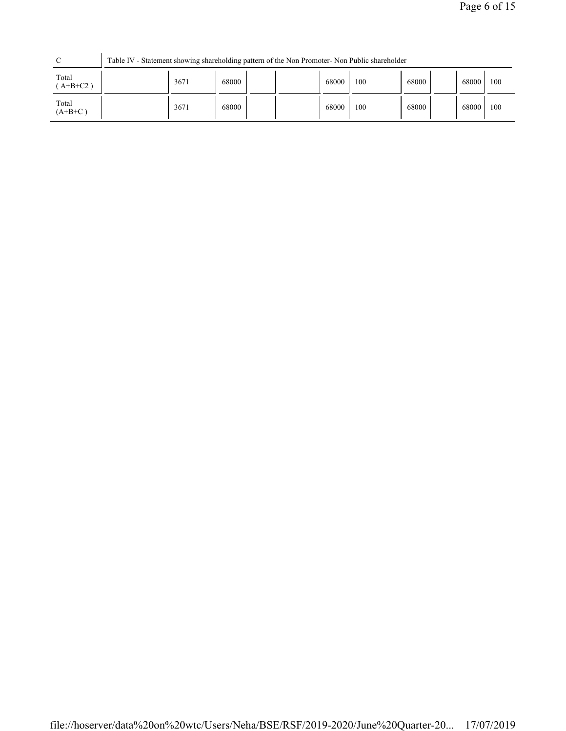| $\sqrt{ }$          | Table IV - Statement showing shareholding pattern of the Non Promoter- Non Public shareholder |      |       |  |       |     |       |  |       |     |
|---------------------|-----------------------------------------------------------------------------------------------|------|-------|--|-------|-----|-------|--|-------|-----|
| Total<br>$A+B+C2$ ) |                                                                                               | 3671 | 68000 |  | 68000 | 100 | 68000 |  | 68000 | 100 |
| Total<br>$(A+B+C)$  |                                                                                               | 3671 | 68000 |  | 68000 | 100 | 68000 |  | 68000 | 100 |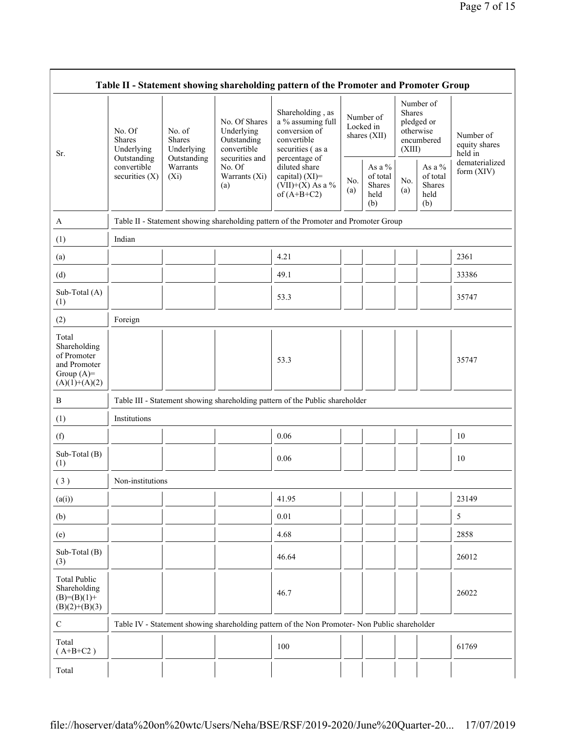| Table II - Statement showing shareholding pattern of the Promoter and Promoter Group    |                                                      |                                                      |                                                                             |                                                                                                            |                                        |                                               |                         |                                                    |                                       |
|-----------------------------------------------------------------------------------------|------------------------------------------------------|------------------------------------------------------|-----------------------------------------------------------------------------|------------------------------------------------------------------------------------------------------------|----------------------------------------|-----------------------------------------------|-------------------------|----------------------------------------------------|---------------------------------------|
| Sr.                                                                                     | No. Of<br><b>Shares</b><br>Underlying<br>Outstanding | No. of<br><b>Shares</b><br>Underlying<br>Outstanding | No. Of Shares<br>Underlying<br>Outstanding<br>convertible<br>securities and | Shareholding, as<br>a % assuming full<br>conversion of<br>convertible<br>securities (as a<br>percentage of | Number of<br>Locked in<br>shares (XII) |                                               | <b>Shares</b><br>(XIII) | Number of<br>pledged or<br>otherwise<br>encumbered | Number of<br>equity shares<br>held in |
|                                                                                         | convertible<br>securities $(X)$                      | Warrants<br>$(X_i)$                                  | No. Of<br>Warrants (Xi)<br>(a)                                              | diluted share<br>capital) (XI)=<br>$(VII)+(X)$ As a %<br>of $(A+B+C2)$                                     | No.<br>(a)                             | As a $%$<br>of total<br>Shares<br>held<br>(b) | No.<br>(a)              | As a $\%$<br>of total<br>Shares<br>held<br>(b)     | dematerialized<br>form (XIV)          |
| A                                                                                       |                                                      |                                                      |                                                                             | Table II - Statement showing shareholding pattern of the Promoter and Promoter Group                       |                                        |                                               |                         |                                                    |                                       |
| (1)                                                                                     | Indian                                               |                                                      |                                                                             |                                                                                                            |                                        |                                               |                         |                                                    |                                       |
| (a)                                                                                     |                                                      |                                                      |                                                                             | 4.21                                                                                                       |                                        |                                               |                         |                                                    | 2361                                  |
| (d)                                                                                     |                                                      |                                                      |                                                                             | 49.1                                                                                                       |                                        |                                               |                         |                                                    | 33386                                 |
| Sub-Total (A)<br>(1)                                                                    |                                                      |                                                      |                                                                             | 53.3                                                                                                       |                                        |                                               |                         |                                                    | 35747                                 |
| (2)                                                                                     | Foreign                                              |                                                      |                                                                             |                                                                                                            |                                        |                                               |                         |                                                    |                                       |
| Total<br>Shareholding<br>of Promoter<br>and Promoter<br>Group $(A)=$<br>$(A)(1)+(A)(2)$ |                                                      |                                                      |                                                                             | 53.3                                                                                                       |                                        |                                               |                         |                                                    | 35747                                 |
| B                                                                                       |                                                      |                                                      |                                                                             | Table III - Statement showing shareholding pattern of the Public shareholder                               |                                        |                                               |                         |                                                    |                                       |
| (1)                                                                                     | Institutions                                         |                                                      |                                                                             |                                                                                                            |                                        |                                               |                         |                                                    |                                       |
| (f)                                                                                     |                                                      |                                                      |                                                                             | 0.06                                                                                                       |                                        |                                               |                         |                                                    | 10                                    |
| Sub-Total (B)<br>(1)                                                                    |                                                      |                                                      |                                                                             | 0.06                                                                                                       |                                        |                                               |                         |                                                    | 10                                    |
| (3)                                                                                     | Non-institutions                                     |                                                      |                                                                             |                                                                                                            |                                        |                                               |                         |                                                    |                                       |
| (a(i))                                                                                  |                                                      |                                                      |                                                                             | 41.95                                                                                                      |                                        |                                               |                         |                                                    | 23149                                 |
| (b)                                                                                     |                                                      |                                                      |                                                                             | 0.01                                                                                                       |                                        |                                               |                         |                                                    | 5                                     |
| (e)                                                                                     |                                                      |                                                      |                                                                             | 4.68                                                                                                       |                                        |                                               |                         |                                                    | 2858                                  |
| Sub-Total (B)<br>(3)                                                                    |                                                      |                                                      |                                                                             | 46.64                                                                                                      |                                        |                                               |                         |                                                    | 26012                                 |
| <b>Total Public</b><br>Shareholding<br>$(B)= (B)(1) +$<br>$(B)(2)+(B)(3)$               |                                                      |                                                      |                                                                             | 46.7                                                                                                       |                                        |                                               |                         |                                                    | 26022                                 |
| $\mathbf C$                                                                             |                                                      |                                                      |                                                                             | Table IV - Statement showing shareholding pattern of the Non Promoter- Non Public shareholder              |                                        |                                               |                         |                                                    |                                       |
| Total<br>$(A+B+C2)$                                                                     |                                                      |                                                      |                                                                             | 100                                                                                                        |                                        |                                               |                         |                                                    | 61769                                 |
| Total                                                                                   |                                                      |                                                      |                                                                             |                                                                                                            |                                        |                                               |                         |                                                    |                                       |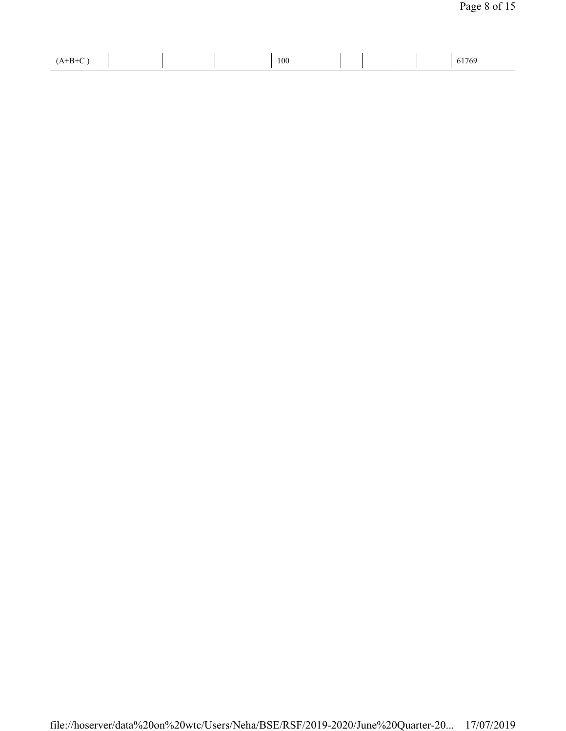| $(A+B+C)$ | 100 |  | 61769 |
|-----------|-----|--|-------|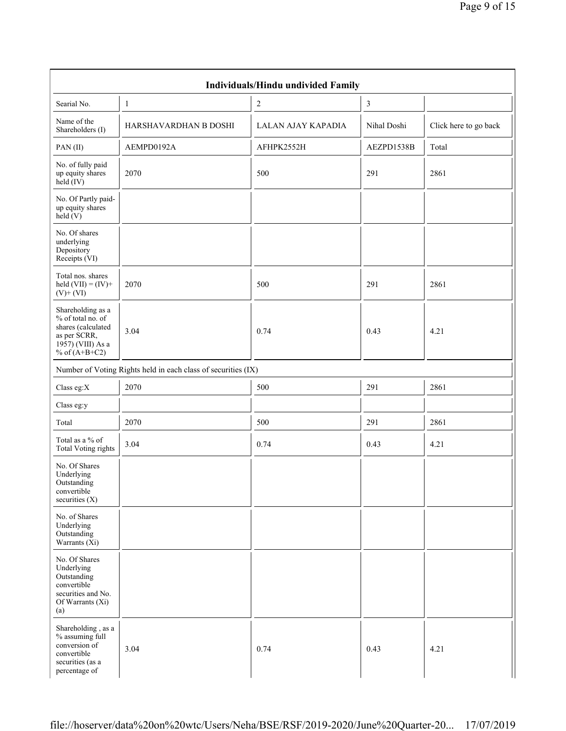|                                                                                                                      |                                                               | Individuals/Hindu undivided Family |             |                       |
|----------------------------------------------------------------------------------------------------------------------|---------------------------------------------------------------|------------------------------------|-------------|-----------------------|
| Searial No.                                                                                                          | $\mathbf{1}$                                                  | $\overline{2}$                     | 3           |                       |
| Name of the<br>Shareholders (I)                                                                                      | HARSHAVARDHAN B DOSHI                                         | LALAN AJAY KAPADIA                 | Nihal Doshi | Click here to go back |
| PAN(II)                                                                                                              | AEMPD0192A                                                    | AFHPK2552H                         | AEZPD1538B  | Total                 |
| No. of fully paid<br>up equity shares<br>held (IV)                                                                   | 2070                                                          | 500                                | 291         | 2861                  |
| No. Of Partly paid-<br>up equity shares<br>held(V)                                                                   |                                                               |                                    |             |                       |
| No. Of shares<br>underlying<br>Depository<br>Receipts (VI)                                                           |                                                               |                                    |             |                       |
| Total nos. shares<br>held $(VII) = (IV) +$<br>$(V)$ + $(VI)$                                                         | 2070                                                          | 500                                | 291         | 2861                  |
| Shareholding as a<br>% of total no. of<br>shares (calculated<br>as per SCRR,<br>1957) (VIII) As a<br>% of $(A+B+C2)$ | 3.04                                                          | 0.74                               | 0.43        | 4.21                  |
|                                                                                                                      | Number of Voting Rights held in each class of securities (IX) |                                    |             |                       |
| Class eg: $X$                                                                                                        | 2070                                                          | 500                                | 291         | 2861                  |
| Class eg:y                                                                                                           |                                                               |                                    |             |                       |
| Total                                                                                                                | 2070                                                          | 500                                | 291         | 2861                  |
| Total as a % of<br><b>Total Voting rights</b>                                                                        | 3.04                                                          | 0.74                               | 0.43        | 4.21                  |
| No. Of Shares<br>Underlying<br>Outstanding<br>convertible<br>securities $(X)$                                        |                                                               |                                    |             |                       |
| No. of Shares<br>Underlying<br>Outstanding<br>Warrants $(X_i)$                                                       |                                                               |                                    |             |                       |
| No. Of Shares<br>Underlying<br>Outstanding<br>convertible<br>securities and No.<br>Of Warrants (Xi)<br>(a)           |                                                               |                                    |             |                       |
| Shareholding, as a<br>% assuming full<br>conversion of<br>convertible<br>securities (as a<br>percentage of           | 3.04                                                          | 0.74                               | 0.43        | 4.21                  |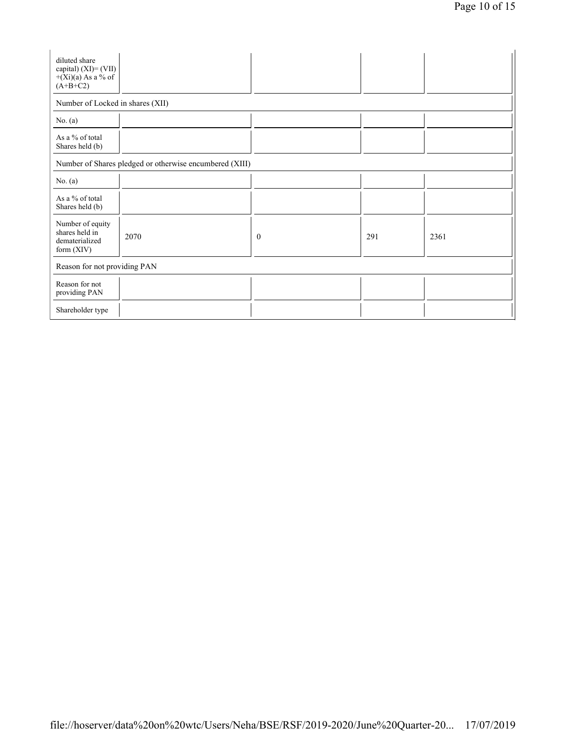| diluted share<br>capital) $(XI) = (VII)$<br>$+(Xi)(a)$ As a % of<br>$(A+B+C2)$ |      |              |     |      |  |  |  |  |
|--------------------------------------------------------------------------------|------|--------------|-----|------|--|--|--|--|
| Number of Locked in shares (XII)                                               |      |              |     |      |  |  |  |  |
| No. $(a)$                                                                      |      |              |     |      |  |  |  |  |
| As a % of total<br>Shares held (b)                                             |      |              |     |      |  |  |  |  |
| Number of Shares pledged or otherwise encumbered (XIII)                        |      |              |     |      |  |  |  |  |
| No. $(a)$                                                                      |      |              |     |      |  |  |  |  |
| As a % of total<br>Shares held (b)                                             |      |              |     |      |  |  |  |  |
| Number of equity<br>shares held in<br>dematerialized<br>form $(XIV)$           | 2070 | $\mathbf{0}$ | 291 | 2361 |  |  |  |  |
| Reason for not providing PAN                                                   |      |              |     |      |  |  |  |  |
| Reason for not<br>providing PAN                                                |      |              |     |      |  |  |  |  |
| Shareholder type                                                               |      |              |     |      |  |  |  |  |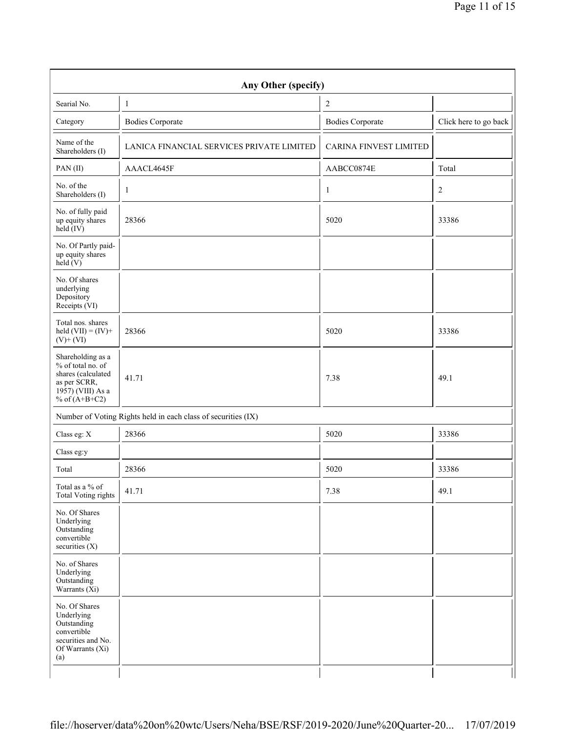|                                                                                                                      | Any Other (specify)                                           |                               |                       |
|----------------------------------------------------------------------------------------------------------------------|---------------------------------------------------------------|-------------------------------|-----------------------|
| Searial No.                                                                                                          | $\mathbf{1}$                                                  | $\sqrt{2}$                    |                       |
| Category                                                                                                             | <b>Bodies Corporate</b>                                       | <b>Bodies Corporate</b>       | Click here to go back |
| Name of the<br>Shareholders (I)                                                                                      | LANICA FINANCIAL SERVICES PRIVATE LIMITED                     | <b>CARINA FINVEST LIMITED</b> |                       |
| PAN(II)                                                                                                              | AAACL4645F                                                    | AABCC0874E                    | Total                 |
| No. of the<br>Shareholders (I)                                                                                       | 1                                                             | $\mathbf{1}$                  | 2                     |
| No. of fully paid<br>up equity shares<br>held $(IV)$                                                                 | 28366                                                         | 5020                          | 33386                 |
| No. Of Partly paid-<br>up equity shares<br>held (V)                                                                  |                                                               |                               |                       |
| No. Of shares<br>underlying<br>Depository<br>Receipts (VI)                                                           |                                                               |                               |                       |
| Total nos. shares<br>held $(VII) = (IV) +$<br>$(V)+(VI)$                                                             | 28366                                                         | 5020                          | 33386                 |
| Shareholding as a<br>% of total no. of<br>shares (calculated<br>as per SCRR,<br>1957) (VIII) As a<br>% of $(A+B+C2)$ | 41.71                                                         | 7.38                          | 49.1                  |
|                                                                                                                      | Number of Voting Rights held in each class of securities (IX) |                               |                       |
| Class eg: X                                                                                                          | 28366                                                         | 5020                          | 33386                 |
| Class eg:y                                                                                                           |                                                               |                               |                       |
| Total                                                                                                                | 28366                                                         | 5020                          | 33386                 |
| Total as a % of<br><b>Total Voting rights</b>                                                                        | 41.71                                                         | 7.38                          | 49.1                  |
| No. Of Shares<br>Underlying<br>Outstanding<br>convertible<br>securities $(X)$                                        |                                                               |                               |                       |
| No. of Shares<br>Underlying<br>Outstanding<br>Warrants $(X_i)$                                                       |                                                               |                               |                       |
| No. Of Shares<br>Underlying<br>Outstanding<br>convertible<br>securities and No.<br>Of Warrants (Xi)<br>(a)           |                                                               |                               |                       |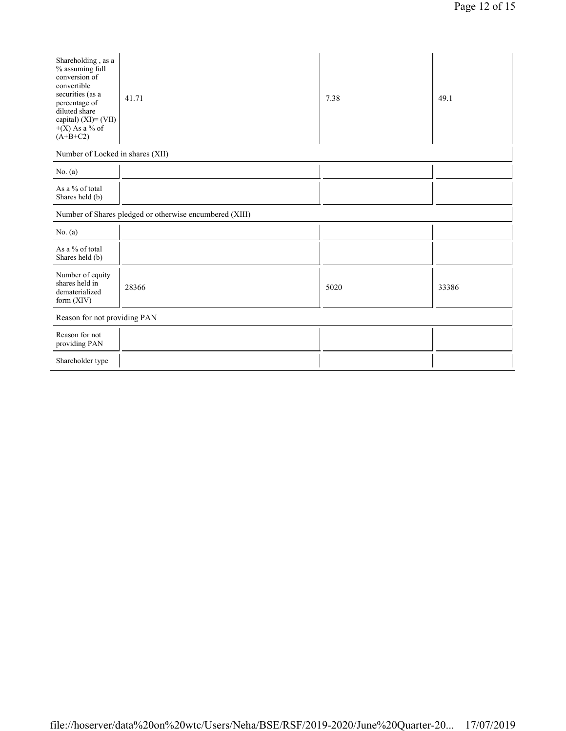| Shareholding, as a<br>% assuming full<br>conversion of<br>convertible<br>securities (as a<br>percentage of<br>diluted share<br>capital) $(XI) = (VII)$<br>$+(X)$ As a % of<br>$(A+B+C2)$ | 41.71                                                   | 7.38 | 49.1  |
|------------------------------------------------------------------------------------------------------------------------------------------------------------------------------------------|---------------------------------------------------------|------|-------|
| Number of Locked in shares (XII)                                                                                                                                                         |                                                         |      |       |
| No. $(a)$                                                                                                                                                                                |                                                         |      |       |
| As a % of total<br>Shares held (b)                                                                                                                                                       |                                                         |      |       |
|                                                                                                                                                                                          | Number of Shares pledged or otherwise encumbered (XIII) |      |       |
| No. $(a)$                                                                                                                                                                                |                                                         |      |       |
| As a % of total<br>Shares held (b)                                                                                                                                                       |                                                         |      |       |
| Number of equity<br>shares held in<br>dematerialized<br>form (XIV)                                                                                                                       | 28366                                                   | 5020 | 33386 |
| Reason for not providing PAN                                                                                                                                                             |                                                         |      |       |
| Reason for not<br>providing PAN                                                                                                                                                          |                                                         |      |       |
| Shareholder type                                                                                                                                                                         |                                                         |      |       |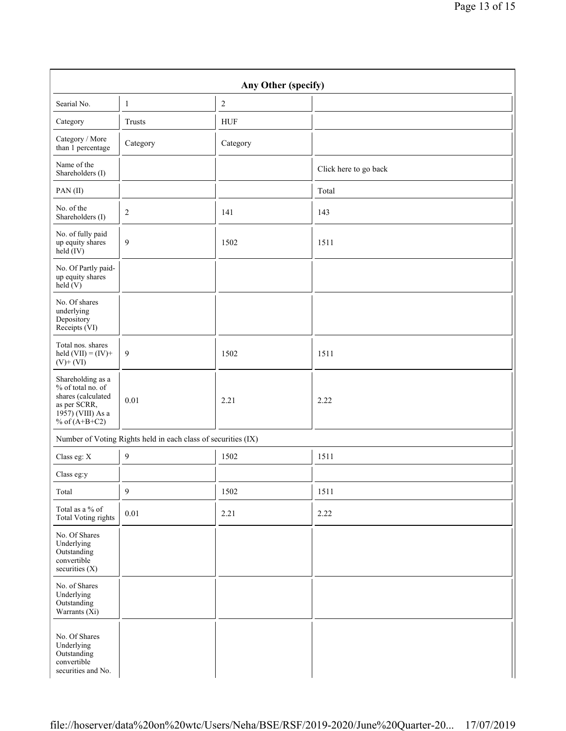|                                                                                                                                    |                | Any Other (specify)                                           |                       |  |
|------------------------------------------------------------------------------------------------------------------------------------|----------------|---------------------------------------------------------------|-----------------------|--|
| Searial No.                                                                                                                        | $\mathbf{1}$   | $\sqrt{2}$                                                    |                       |  |
| Category                                                                                                                           | Trusts         | <b>HUF</b>                                                    |                       |  |
| Category / More<br>than 1 percentage                                                                                               | Category       | Category                                                      |                       |  |
| Name of the<br>Shareholders (I)                                                                                                    |                |                                                               | Click here to go back |  |
| PAN(II)                                                                                                                            |                |                                                               | Total                 |  |
| No. of the<br>Shareholders (I)                                                                                                     | $\overline{c}$ | 141                                                           | 143                   |  |
| No. of fully paid<br>up equity shares<br>held (IV)                                                                                 | $\mathfrak{g}$ | 1502                                                          | 1511                  |  |
| No. Of Partly paid-<br>up equity shares<br>$\text{held}(V)$                                                                        |                |                                                               |                       |  |
| No. Of shares<br>underlying<br>Depository<br>Receipts (VI)                                                                         |                |                                                               |                       |  |
| Total nos. shares<br>held $(VII) = (IV) +$<br>$(V) + (VI)$                                                                         | 9              | 1502                                                          | 1511                  |  |
| Shareholding as a<br>% of total no. of<br>shares (calculated<br>as per SCRR,<br>$19\overline{57}$ ) (VIII) As a<br>% of $(A+B+C2)$ | 0.01           | 2.21                                                          | 2.22                  |  |
|                                                                                                                                    |                | Number of Voting Rights held in each class of securities (IX) |                       |  |
| Class eg: X                                                                                                                        | $\mathbf{9}$   | 1502                                                          | 1511                  |  |
| Class eg:y                                                                                                                         |                |                                                               |                       |  |
| Total                                                                                                                              | $\mathbf{9}$   | 1502                                                          | 1511                  |  |
| Total as a % of<br><b>Total Voting rights</b>                                                                                      | $0.01\,$       | 2.21                                                          | 2.22                  |  |
| No. Of Shares<br>Underlying<br>Outstanding<br>convertible<br>securities (X)                                                        |                |                                                               |                       |  |
| No. of Shares<br>Underlying<br>Outstanding<br>Warrants $(X_i)$                                                                     |                |                                                               |                       |  |
| No. Of Shares<br>Underlying<br>Outstanding<br>convertible<br>securities and No.                                                    |                |                                                               |                       |  |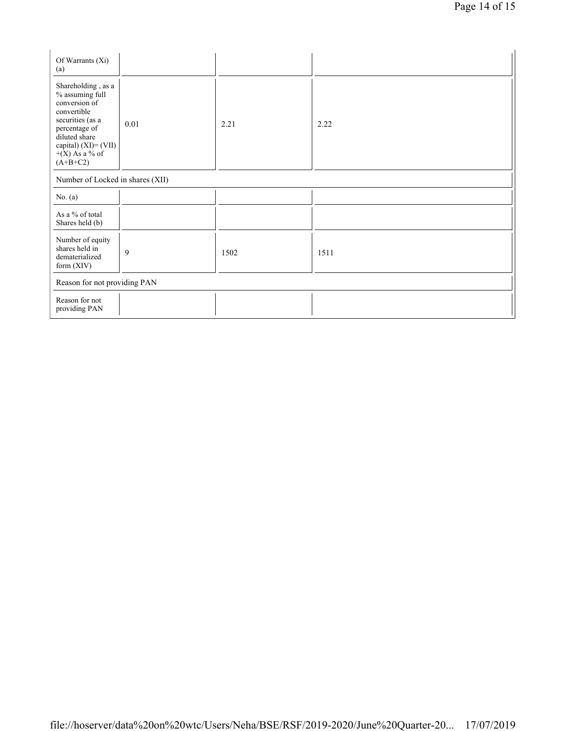| Of Warrants (Xi)<br>(a)                                                                                                                                                                  |      |      |      |  |  |  |
|------------------------------------------------------------------------------------------------------------------------------------------------------------------------------------------|------|------|------|--|--|--|
| Shareholding, as a<br>% assuming full<br>conversion of<br>convertible<br>securities (as a<br>percentage of<br>diluted share<br>capital) $(XI) = (VII)$<br>$+(X)$ As a % of<br>$(A+B+C2)$ | 0.01 | 2.21 | 2.22 |  |  |  |
| Number of Locked in shares (XII)                                                                                                                                                         |      |      |      |  |  |  |
| No. $(a)$                                                                                                                                                                                |      |      |      |  |  |  |
| As a % of total<br>Shares held (b)                                                                                                                                                       |      |      |      |  |  |  |
| Number of equity<br>shares held in<br>dematerialized<br>form $(XIV)$                                                                                                                     | 9    | 1502 | 1511 |  |  |  |
| Reason for not providing PAN                                                                                                                                                             |      |      |      |  |  |  |
| Reason for not<br>providing PAN                                                                                                                                                          |      |      |      |  |  |  |